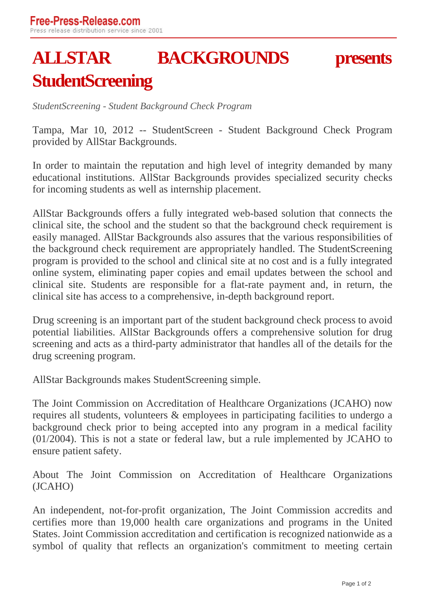## **ALLSTAR BACKGROUNDS presents StudentScreening**

*StudentScreening - Student Background Check Program*

Tampa, Mar 10, 2012 -- StudentScreen - Student Background Check Program provided by AllStar Backgrounds.

In order to maintain the reputation and high level of integrity demanded by many educational institutions. AllStar Backgrounds provides specialized security checks for incoming students as well as internship placement.

AllStar Backgrounds offers a fully integrated web-based solution that connects the clinical site, the school and the student so that the background check requirement is easily managed. AllStar Backgrounds also assures that the various responsibilities of the background check requirement are appropriately handled. The StudentScreening program is provided to the school and clinical site at no cost and is a fully integrated online system, eliminating paper copies and email updates between the school and clinical site. Students are responsible for a flat-rate payment and, in return, the clinical site has access to a comprehensive, in-depth background report.

Drug screening is an important part of the student background check process to avoid potential liabilities. AllStar Backgrounds offers a comprehensive solution for drug screening and acts as a third-party administrator that handles all of the details for the drug screening program.

AllStar Backgrounds makes StudentScreening simple.

The Joint Commission on Accreditation of Healthcare Organizations (JCAHO) now requires all students, volunteers & employees in participating facilities to undergo a background check prior to being accepted into any program in a medical facility (01/2004). This is not a state or federal law, but a rule implemented by JCAHO to ensure patient safety.

About The Joint Commission on Accreditation of Healthcare Organizations (JCAHO)

An independent, not-for-profit organization, The Joint Commission accredits and certifies more than 19,000 health care organizations and programs in the United States. Joint Commission accreditation and certification is recognized nationwide as a symbol of quality that reflects an organization's commitment to meeting certain